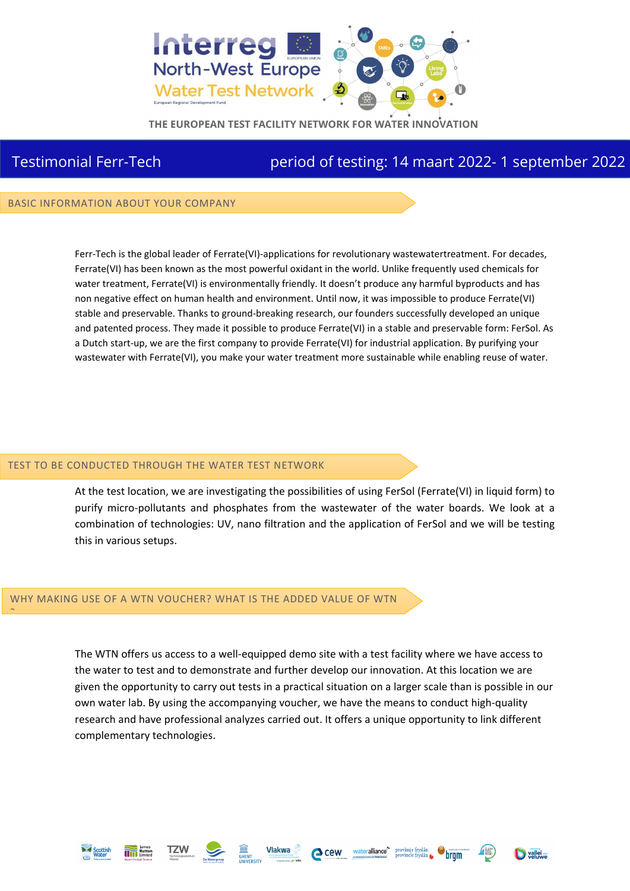

THE EUROPEAN TEST FACILITY NETWORK FOR WATER INNOVATION

## Testimonial Ferr-Tech period of testing: 14 maart 2022- 1 september 2022

BASIC INFORMATION ABOUT YOUR COMPANY

Ferr-Tech is the global leader of Ferrate(VI)-applications for revolutionary wastewatertreatment. For decades, Ferrate(VI) has been known as the most powerful oxidant in the world. Unlike frequently used chemicals for water treatment, Ferrate(VI) is environmentally friendly. It doesn't produce any harmful byproducts and has non negative effect on human health and environment. Until now, it was impossible to produce Ferrate(VI) stable and preservable. Thanks to ground-breaking research, our founders successfully developed an unique and patented process. They made it possible to produce Ferrate(VI) in a stable and preservable form: FerSol. As a Dutch start-up, we are the first company to provide Ferrate(VI) for industrial application. By purifying your wastewater with Ferrate(VI), you make your water treatment more sustainable while enabling reuse of water.

## TEST TO BE CONDUCTED THROUGH THE WATER TEST NETWORK

At the test location, we are investigating the possibilities of using FerSol (Ferrate(VI) in liquid form) to purify micro-pollutants and phosphates from the wastewater of the water boards. We look at a combination of technologies: UV, nano filtration and the application of FerSol and we will be testing this in various setups.

## WHY MAKING USE OF A WTN VOUCHER? WHAT IS THE ADDED VALUE OF WTN

The WTN offers us access to a well-equipped demo site with a test facility where we have access to the water to test and to demonstrate and further develop our innovation. At this location we are given the opportunity to carry out tests in a practical situation on a larger scale than is possible in our own water lab. By using the accompanying voucher, we have the means to conduct high-quality research and have professional analyzes carried out. It offers a unique opportunity to link different complementary technologies.



?